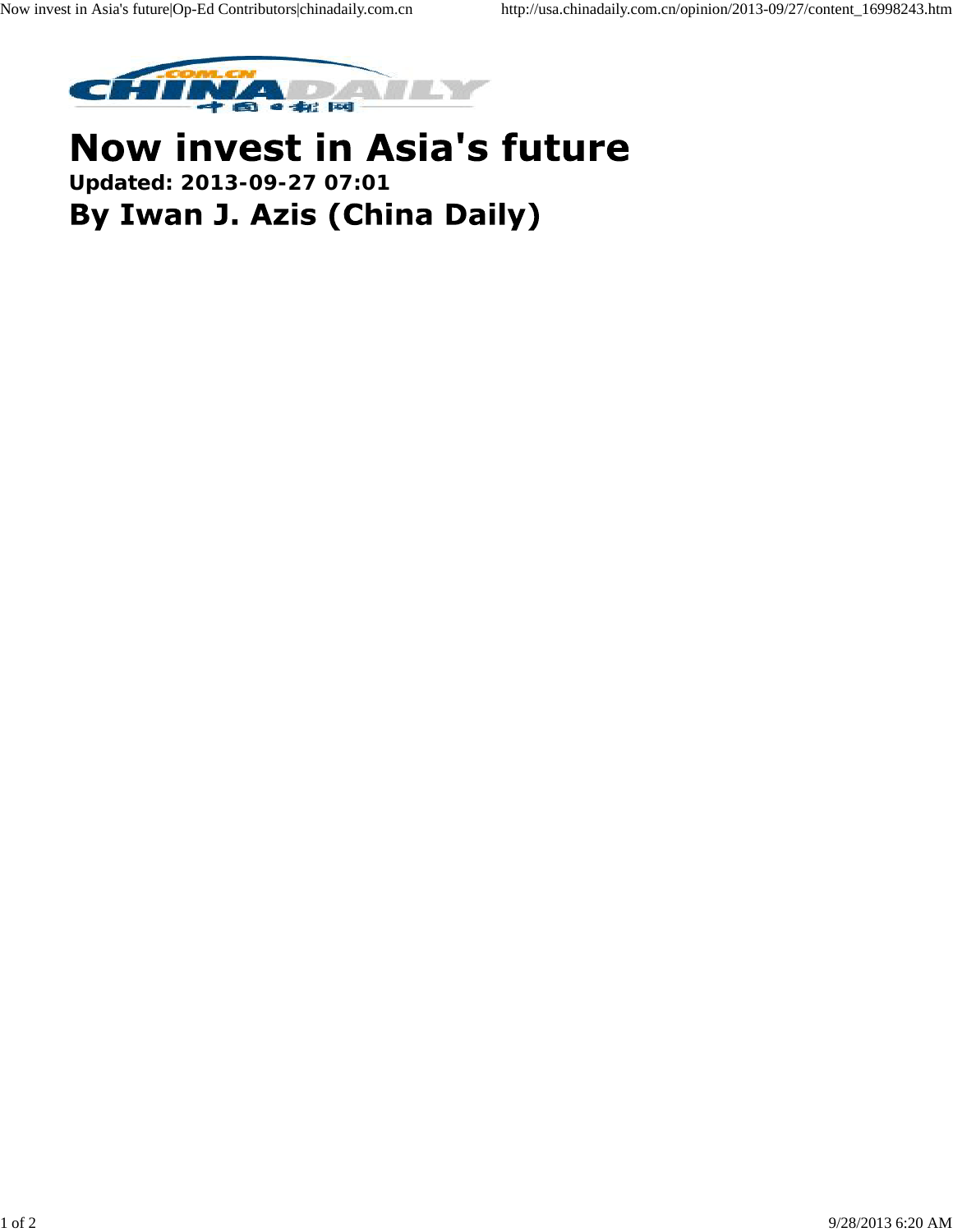

## **Now invest in Asia's future Updated: 2013-09-27 07:01** By Iwan J. Azis (China Daily)